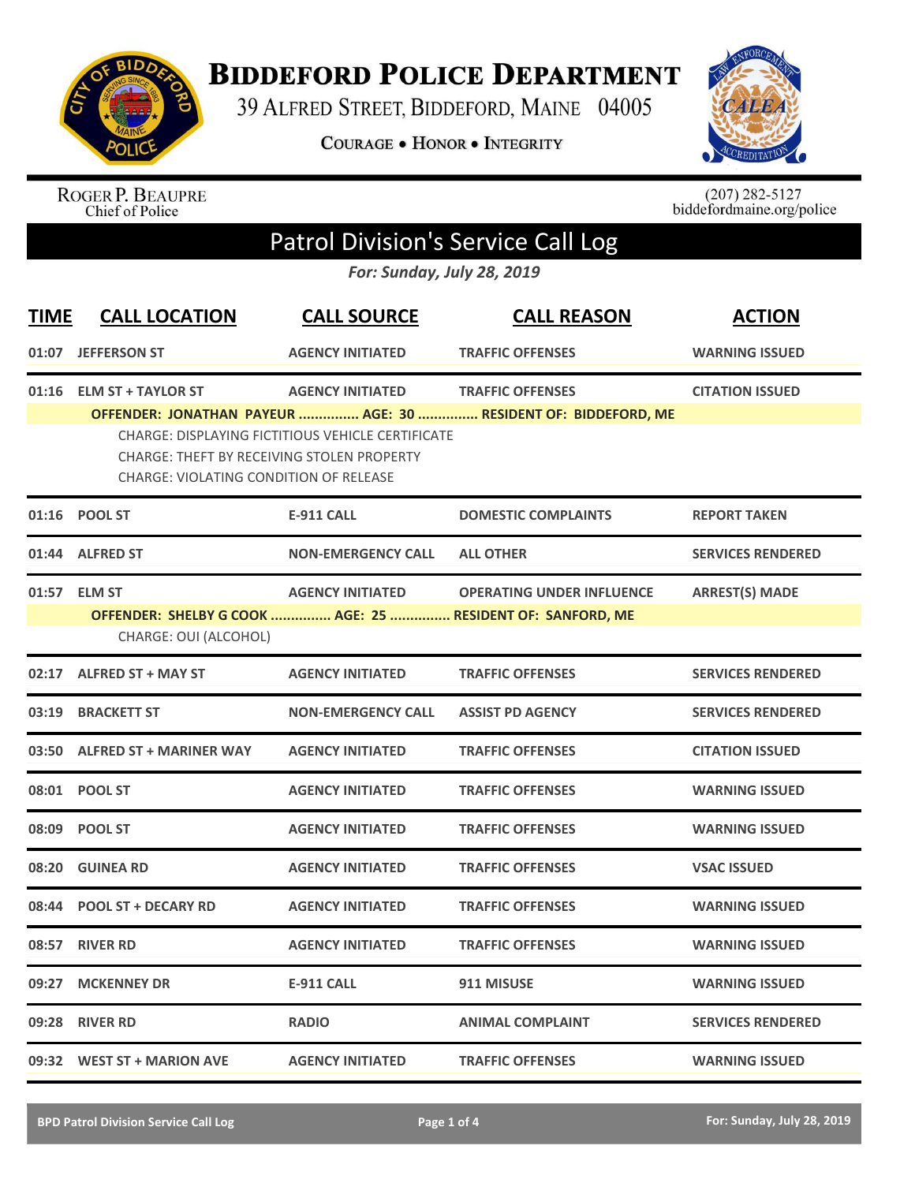

## **BIDDEFORD POLICE DEPARTMENT**

39 ALFRED STREET, BIDDEFORD, MAINE 04005

COURAGE . HONOR . INTEGRITY



ROGER P. BEAUPRE<br>Chief of Police

 $(207)$  282-5127<br>biddefordmaine.org/police

## Patrol Division's Service Call Log

*For: Sunday, July 28, 2019*

| <b>TIME</b> | <b>CALL LOCATION</b>                                                           | <b>CALL SOURCE</b>                                                                  | <b>CALL REASON</b>                                                                             | <b>ACTION</b>            |
|-------------|--------------------------------------------------------------------------------|-------------------------------------------------------------------------------------|------------------------------------------------------------------------------------------------|--------------------------|
| 01:07       | <b>JEFFERSON ST</b>                                                            | <b>AGENCY INITIATED</b>                                                             | <b>TRAFFIC OFFENSES</b>                                                                        | <b>WARNING ISSUED</b>    |
| 01:16       | <b>ELM ST + TAYLOR ST</b><br><b>CHARGE: THEFT BY RECEIVING STOLEN PROPERTY</b> | <b>AGENCY INITIATED</b><br><b>CHARGE: DISPLAYING FICTITIOUS VEHICLE CERTIFICATE</b> | <b>TRAFFIC OFFENSES</b><br>OFFENDER: JONATHAN PAYEUR  AGE: 30  RESIDENT OF: BIDDEFORD, ME      | <b>CITATION ISSUED</b>   |
| 01:16       | CHARGE: VIOLATING CONDITION OF RELEASE<br><b>POOL ST</b>                       | <b>E-911 CALL</b>                                                                   | <b>DOMESTIC COMPLAINTS</b>                                                                     | <b>REPORT TAKEN</b>      |
| 01:44       | <b>ALFRED ST</b>                                                               | <b>NON-EMERGENCY CALL</b>                                                           | <b>ALL OTHER</b>                                                                               | <b>SERVICES RENDERED</b> |
|             | 01:57 ELM ST<br>CHARGE: OUI (ALCOHOL)                                          | <b>AGENCY INITIATED</b>                                                             | <b>OPERATING UNDER INFLUENCE</b><br>OFFENDER: SHELBY G COOK  AGE: 25  RESIDENT OF: SANFORD, ME | <b>ARREST(S) MADE</b>    |
|             | 02:17 ALFRED ST + MAY ST                                                       | <b>AGENCY INITIATED</b>                                                             | <b>TRAFFIC OFFENSES</b>                                                                        | <b>SERVICES RENDERED</b> |
| 03:19       | <b>BRACKETT ST</b>                                                             | <b>NON-EMERGENCY CALL</b>                                                           | <b>ASSIST PD AGENCY</b>                                                                        | <b>SERVICES RENDERED</b> |
| 03:50       | <b>ALFRED ST + MARINER WAY</b>                                                 | <b>AGENCY INITIATED</b>                                                             | <b>TRAFFIC OFFENSES</b>                                                                        | <b>CITATION ISSUED</b>   |
|             | 08:01 POOL ST                                                                  | <b>AGENCY INITIATED</b>                                                             | <b>TRAFFIC OFFENSES</b>                                                                        | <b>WARNING ISSUED</b>    |
|             | 08:09 POOL ST                                                                  | <b>AGENCY INITIATED</b>                                                             | <b>TRAFFIC OFFENSES</b>                                                                        | <b>WARNING ISSUED</b>    |
| 08:20       | <b>GUINEA RD</b>                                                               | <b>AGENCY INITIATED</b>                                                             | <b>TRAFFIC OFFENSES</b>                                                                        | <b>VSAC ISSUED</b>       |
| 08:44       | <b>POOL ST + DECARY RD</b>                                                     | <b>AGENCY INITIATED</b>                                                             | <b>TRAFFIC OFFENSES</b>                                                                        | <b>WARNING ISSUED</b>    |
| 08:57       | <b>RIVER RD</b>                                                                | <b>AGENCY INITIATED</b>                                                             | <b>TRAFFIC OFFENSES</b>                                                                        | <b>WARNING ISSUED</b>    |
| 09:27       | <b>MCKENNEY DR</b>                                                             | <b>E-911 CALL</b>                                                                   | 911 MISUSE                                                                                     | <b>WARNING ISSUED</b>    |
| 09:28       | <b>RIVER RD</b>                                                                | <b>RADIO</b>                                                                        | <b>ANIMAL COMPLAINT</b>                                                                        | <b>SERVICES RENDERED</b> |
|             | 09:32 WEST ST + MARION AVE                                                     | <b>AGENCY INITIATED</b>                                                             | <b>TRAFFIC OFFENSES</b>                                                                        | <b>WARNING ISSUED</b>    |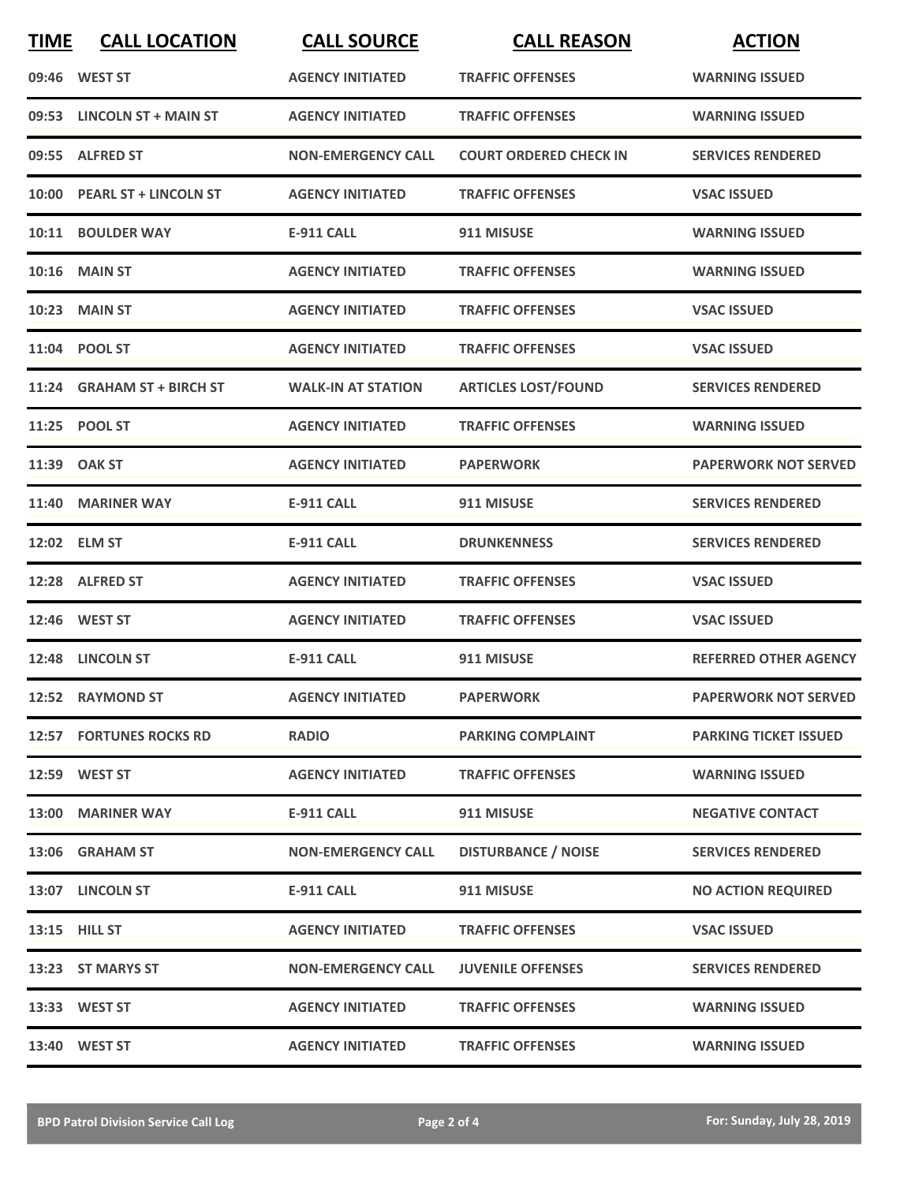| <b>TIME</b> | <b>CALL LOCATION</b>           | <b>CALL SOURCE</b>        | <b>CALL REASON</b>            | <b>ACTION</b>                |
|-------------|--------------------------------|---------------------------|-------------------------------|------------------------------|
|             | 09:46 WEST ST                  | <b>AGENCY INITIATED</b>   | <b>TRAFFIC OFFENSES</b>       | <b>WARNING ISSUED</b>        |
|             | 09:53 LINCOLN ST + MAIN ST     | <b>AGENCY INITIATED</b>   | <b>TRAFFIC OFFENSES</b>       | <b>WARNING ISSUED</b>        |
|             | 09:55 ALFRED ST                | <b>NON-EMERGENCY CALL</b> | <b>COURT ORDERED CHECK IN</b> | <b>SERVICES RENDERED</b>     |
|             | 10:00 PEARL ST + LINCOLN ST    | <b>AGENCY INITIATED</b>   | <b>TRAFFIC OFFENSES</b>       | <b>VSAC ISSUED</b>           |
|             | 10:11 BOULDER WAY              | <b>E-911 CALL</b>         | 911 MISUSE                    | <b>WARNING ISSUED</b>        |
|             | <b>10:16 MAIN ST</b>           | <b>AGENCY INITIATED</b>   | <b>TRAFFIC OFFENSES</b>       | <b>WARNING ISSUED</b>        |
|             | <b>10:23 MAIN ST</b>           | <b>AGENCY INITIATED</b>   | <b>TRAFFIC OFFENSES</b>       | <b>VSAC ISSUED</b>           |
|             | 11:04 POOL ST                  | <b>AGENCY INITIATED</b>   | <b>TRAFFIC OFFENSES</b>       | <b>VSAC ISSUED</b>           |
|             | 11:24 GRAHAM ST + BIRCH ST     | <b>WALK-IN AT STATION</b> | <b>ARTICLES LOST/FOUND</b>    | <b>SERVICES RENDERED</b>     |
|             | 11:25 POOL ST                  | <b>AGENCY INITIATED</b>   | <b>TRAFFIC OFFENSES</b>       | <b>WARNING ISSUED</b>        |
|             | 11:39 OAK ST                   | <b>AGENCY INITIATED</b>   | <b>PAPERWORK</b>              | <b>PAPERWORK NOT SERVED</b>  |
|             | 11:40 MARINER WAY              | <b>E-911 CALL</b>         | 911 MISUSE                    | <b>SERVICES RENDERED</b>     |
|             | 12:02 ELM ST                   | <b>E-911 CALL</b>         | <b>DRUNKENNESS</b>            | <b>SERVICES RENDERED</b>     |
|             | 12:28 ALFRED ST                | <b>AGENCY INITIATED</b>   | <b>TRAFFIC OFFENSES</b>       | <b>VSAC ISSUED</b>           |
|             | 12:46 WEST ST                  | <b>AGENCY INITIATED</b>   | <b>TRAFFIC OFFENSES</b>       | <b>VSAC ISSUED</b>           |
|             | 12:48 LINCOLN ST               | <b>E-911 CALL</b>         | 911 MISUSE                    | <b>REFERRED OTHER AGENCY</b> |
|             | 12:52 RAYMOND ST               | <b>AGENCY INITIATED</b>   | <b>PAPERWORK</b>              | <b>PAPERWORK NOT SERVED</b>  |
|             | <b>12:57 FORTUNES ROCKS RD</b> | <b>RADIO</b>              | <b>PARKING COMPLAINT</b>      | <b>PARKING TICKET ISSUED</b> |
|             | 12:59 WEST ST                  | <b>AGENCY INITIATED</b>   | <b>TRAFFIC OFFENSES</b>       | <b>WARNING ISSUED</b>        |
|             | 13:00 MARINER WAY              | E-911 CALL                | 911 MISUSE                    | <b>NEGATIVE CONTACT</b>      |
|             | 13:06 GRAHAM ST                | <b>NON-EMERGENCY CALL</b> | <b>DISTURBANCE / NOISE</b>    | <b>SERVICES RENDERED</b>     |
|             | 13:07 LINCOLN ST               | E-911 CALL                | 911 MISUSE                    | <b>NO ACTION REQUIRED</b>    |
|             | 13:15 HILL ST                  | <b>AGENCY INITIATED</b>   | <b>TRAFFIC OFFENSES</b>       | <b>VSAC ISSUED</b>           |
|             | 13:23 ST MARYS ST              | <b>NON-EMERGENCY CALL</b> | <b>JUVENILE OFFENSES</b>      | <b>SERVICES RENDERED</b>     |
|             | 13:33 WEST ST                  | <b>AGENCY INITIATED</b>   | <b>TRAFFIC OFFENSES</b>       | <b>WARNING ISSUED</b>        |
|             | 13:40 WEST ST                  | <b>AGENCY INITIATED</b>   | <b>TRAFFIC OFFENSES</b>       | <b>WARNING ISSUED</b>        |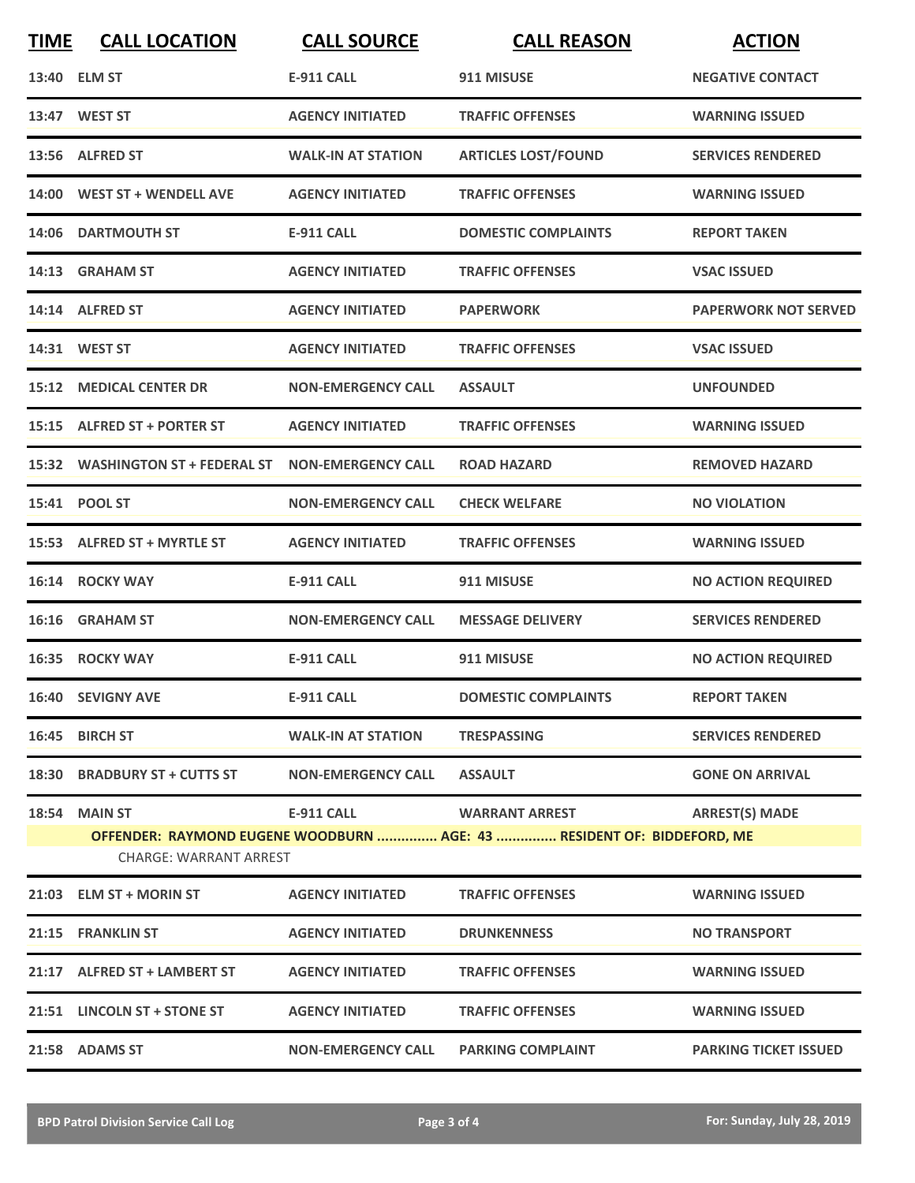| <b>TIME</b> | <b>CALL LOCATION</b>                           | <b>CALL SOURCE</b>        | <b>CALL REASON</b>                                                                                  | <b>ACTION</b>                |
|-------------|------------------------------------------------|---------------------------|-----------------------------------------------------------------------------------------------------|------------------------------|
|             | 13:40 ELM ST                                   | <b>E-911 CALL</b>         | 911 MISUSE                                                                                          | <b>NEGATIVE CONTACT</b>      |
|             | 13:47 WEST ST                                  | <b>AGENCY INITIATED</b>   | <b>TRAFFIC OFFENSES</b>                                                                             | <b>WARNING ISSUED</b>        |
|             | 13:56 ALFRED ST                                | <b>WALK-IN AT STATION</b> | <b>ARTICLES LOST/FOUND</b>                                                                          | <b>SERVICES RENDERED</b>     |
|             | 14:00 WEST ST + WENDELL AVE                    | <b>AGENCY INITIATED</b>   | <b>TRAFFIC OFFENSES</b>                                                                             | <b>WARNING ISSUED</b>        |
|             | 14:06 DARTMOUTH ST                             | <b>E-911 CALL</b>         | <b>DOMESTIC COMPLAINTS</b>                                                                          | <b>REPORT TAKEN</b>          |
|             | 14:13 GRAHAM ST                                | <b>AGENCY INITIATED</b>   | <b>TRAFFIC OFFENSES</b>                                                                             | <b>VSAC ISSUED</b>           |
|             | 14:14 ALFRED ST                                | <b>AGENCY INITIATED</b>   | <b>PAPERWORK</b>                                                                                    | <b>PAPERWORK NOT SERVED</b>  |
|             | 14:31 WEST ST                                  | <b>AGENCY INITIATED</b>   | <b>TRAFFIC OFFENSES</b>                                                                             | <b>VSAC ISSUED</b>           |
|             | <b>15:12 MEDICAL CENTER DR</b>                 | <b>NON-EMERGENCY CALL</b> | <b>ASSAULT</b>                                                                                      | <b>UNFOUNDED</b>             |
|             | 15:15 ALFRED ST + PORTER ST                    | <b>AGENCY INITIATED</b>   | <b>TRAFFIC OFFENSES</b>                                                                             | <b>WARNING ISSUED</b>        |
|             | 15:32 WASHINGTON ST + FEDERAL ST               | <b>NON-EMERGENCY CALL</b> | <b>ROAD HAZARD</b>                                                                                  | <b>REMOVED HAZARD</b>        |
|             | 15:41 POOL ST                                  | <b>NON-EMERGENCY CALL</b> | <b>CHECK WELFARE</b>                                                                                | <b>NO VIOLATION</b>          |
|             | 15:53 ALFRED ST + MYRTLE ST                    | <b>AGENCY INITIATED</b>   | <b>TRAFFIC OFFENSES</b>                                                                             | <b>WARNING ISSUED</b>        |
|             | 16:14 ROCKY WAY                                | <b>E-911 CALL</b>         | 911 MISUSE                                                                                          | <b>NO ACTION REQUIRED</b>    |
|             | 16:16 GRAHAM ST                                | <b>NON-EMERGENCY CALL</b> | <b>MESSAGE DELIVERY</b>                                                                             | <b>SERVICES RENDERED</b>     |
|             | 16:35 ROCKY WAY                                | <b>E-911 CALL</b>         | 911 MISUSE                                                                                          | <b>NO ACTION REQUIRED</b>    |
|             | 16:40 SEVIGNY AVE                              | E-911 CALL                | <b>DOMESTIC COMPLAINTS</b>                                                                          | <b>REPORT TAKEN</b>          |
|             | 16:45 BIRCH ST                                 | <b>WALK-IN AT STATION</b> | <b>TRESPASSING</b>                                                                                  | <b>SERVICES RENDERED</b>     |
|             | 18:30 BRADBURY ST + CUTTS ST                   | <b>NON-EMERGENCY CALL</b> | <b>ASSAULT</b>                                                                                      | <b>GONE ON ARRIVAL</b>       |
|             | 18:54 MAIN ST<br><b>CHARGE: WARRANT ARREST</b> |                           | E-911 CALL WARRANT ARREST<br>OFFENDER: RAYMOND EUGENE WOODBURN  AGE: 43  RESIDENT OF: BIDDEFORD, ME | <b>ARREST(S) MADE</b>        |
|             | 21:03 ELM ST + MORIN ST                        | <b>AGENCY INITIATED</b>   | <b>TRAFFIC OFFENSES</b>                                                                             | <b>WARNING ISSUED</b>        |
|             | 21:15 FRANKLIN ST                              | <b>AGENCY INITIATED</b>   | <b>DRUNKENNESS</b>                                                                                  | <b>NO TRANSPORT</b>          |
|             | 21:17 ALFRED ST + LAMBERT ST                   | <b>AGENCY INITIATED</b>   | <b>TRAFFIC OFFENSES</b>                                                                             | <b>WARNING ISSUED</b>        |
|             | 21:51 LINCOLN ST + STONE ST                    | <b>AGENCY INITIATED</b>   | <b>TRAFFIC OFFENSES</b>                                                                             | <b>WARNING ISSUED</b>        |
|             | 21:58 ADAMS ST                                 | <b>NON-EMERGENCY CALL</b> | <b>PARKING COMPLAINT</b>                                                                            | <b>PARKING TICKET ISSUED</b> |